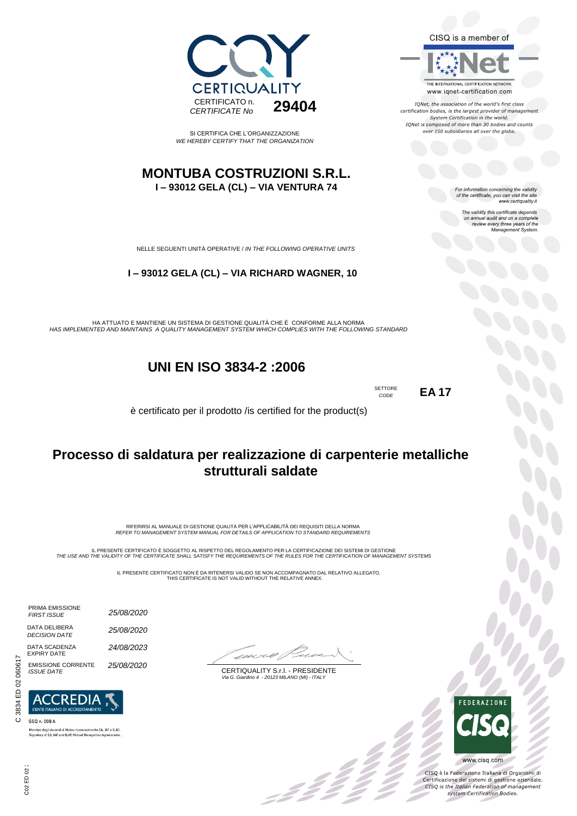CISQ is a member of



IONet, the association of the world's first class certification bodies, is the largest provider of management<br>System Certification in the world. IQNet is composed of more than 30 bodies and counts over 150 subsidiaries all over the globe.

For information concerning the validity<br>of the certificate, you can visit the site<br>www.certiquality.it

The validity this certificate depends on annual audit and on a complete review every three years of the Management System.



SI CERTIFICA CHE L'ORGANIZZAZIONE *WE HEREBY CERTIFY THAT THE ORGANIZATION*

#### **MONTUBA COSTRUZIONI S.R.L. I – 93012 GELA (CL) – VIA VENTURA 74**

NELLE SEGUENTI UNITÀ OPERATIVE / *IN THE FOLLOWING OPERATIVE UNITS*

#### **I – 93012 GELA (CL) – VIA RICHARD WAGNER, 10**

HA ATTUATO E MANTIENE UN SISTEMA DI GESTIONE QUALITÀ CHE È CONFORME ALLA NORMA *HAS IMPLEMENTED AND MAINTAINS A QUALITY MANAGEMENT SYSTEM WHICH COMPLIES WITH THE FOLLOWING STANDARD*

## **UNI EN ISO 3834-2 :2006**

SETTORE *CODE*

**EA 17**

è certificato per il prodotto /is certified for the product(s)

## **Processo di saldatura per realizzazione di carpenterie metalliche strutturali saldate**

RIFERIRSI AL MANUALE DI GESTIONE QUALITÀ PER L'APPLICABILITÀ DEI REQUISITI DELLA NORMA *REFER TO MANAGEMENT SYSTEM MANUAL FOR DETAILS OF APPLICATION TO STANDARD REQUIREMENTS*

IL PRESENTE CERTIFICATO E SOGGETTO AL RISPETTO DEL REGOLAMENTO PER LA CERTIFICAZIONE DEI SISTEMI DI GESTIONE<br>THE USE AND THE VALIDITY OF THE CERTIFICATE SHALL SATISFY THE REQUIREMENTS OF THE RULES FOR THE CERTIFICATION OF

IL PRESENTE CERTIFICATO NON È DA RITENERSI VALIDO SE NON ACCOMPAGNATO DAL RELATIVO ALLEGATO. THIS CERTIFICATE IS NOT VALID WITHOUT THE RELATIVE ANNEX.

, 3 3 3 3 3

CERTIQUALITY S.r.l. - PRESIDENTE  *Via G. Giardino 4 - 20123 MILANO (MI) - ITALY*

FEDERAZIONE

X

CISQ è la Federazione Italiana di Organismi di Certificazione dei sistemi di gestione aziendale.<br>CESQ is the Italian Federation of management system Certification Bodies.

www.cisq.com

DATA DELIBERA *DECISION DATE* DATA SCADENZA EXPIRY DATE EMISSIONE CORRENTE *ISSUE DATE*

PRIMA EMISSIONE *FIRST ISSUE*



*25/08/2020*

*25/08/2020*

*24/08/2023*

*25/08/2020*

SGQ n. 008 A Membro degli Accordi di Mutuo riconoscimento EA, IAF e ILAC.<br>Signatory of EA, IAF and ILAC Mutual Recognition Agreements.

ED 02:  $02$ 

C 3834 ED 02 060617

 $\sim$